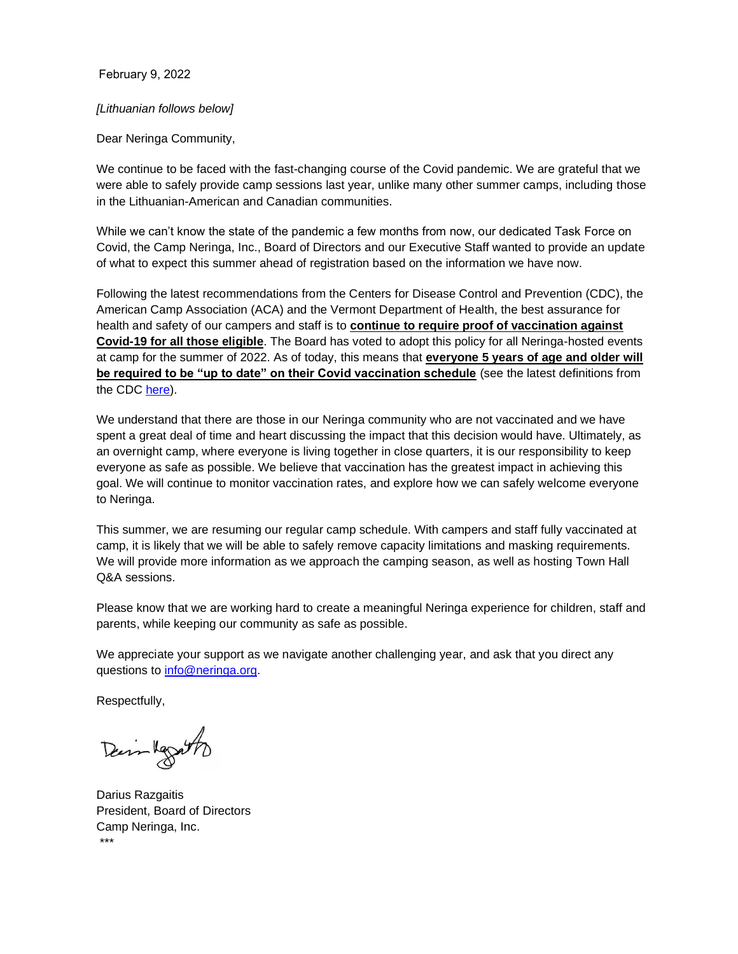February 9, 2022

## *[Lithuanian follows below]*

Dear Neringa Community,

We continue to be faced with the fast-changing course of the Covid pandemic. We are grateful that we were able to safely provide camp sessions last year, unlike many other summer camps, including those in the Lithuanian-American and Canadian communities.

While we can't know the state of the pandemic a few months from now, our dedicated Task Force on Covid, the Camp Neringa, Inc., Board of Directors and our Executive Staff wanted to provide an update of what to expect this summer ahead of registration based on the information we have now.

Following the latest recommendations from the Centers for Disease Control and Prevention (CDC), the American Camp Association (ACA) and the Vermont Department of Health, the best assurance for health and safety of our campers and staff is to **continue to require proof of vaccination against Covid-19 for all those eligible**. The Board has voted to adopt this policy for all Neringa-hosted events at camp for the summer of 2022. As of today, this means that **everyone 5 years of age and older will be required to be "up to date" on their Covid vaccination schedule** (see the latest definitions from the CDC [here\)](https://www.cdc.gov/coronavirus/2019-ncov/vaccines/stay-up-to-date.html).

We understand that there are those in our Neringa community who are not vaccinated and we have spent a great deal of time and heart discussing the impact that this decision would have. Ultimately, as an overnight camp, where everyone is living together in close quarters, it is our responsibility to keep everyone as safe as possible. We believe that vaccination has the greatest impact in achieving this goal. We will continue to monitor vaccination rates, and explore how we can safely welcome everyone to Neringa.

This summer, we are resuming our regular camp schedule. With campers and staff fully vaccinated at camp, it is likely that we will be able to safely remove capacity limitations and masking requirements. We will provide more information as we approach the camping season, as well as hosting Town Hall Q&A sessions.

Please know that we are working hard to create a meaningful Neringa experience for children, staff and parents, while keeping our community as safe as possible.

We appreciate your support as we navigate another challenging year, and ask that you direct any questions to [info@neringa.org.](mailto:info@neringa.org)

Respectfully,

Dain Regatto

Darius Razgaitis President, Board of Directors Camp Neringa, Inc. \*\*\*